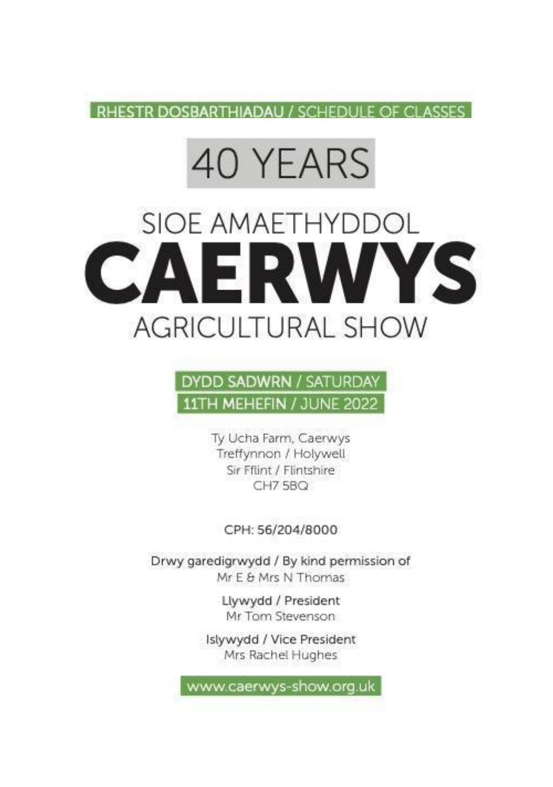**RHESTR DOSBARTHIADAU / SCHEDULE OF CLASSES** 

# **40 YEARS**

# SIOE AMAETHYDDOL **CAERW** YS **AGRICULTURAL SHOW**

DYDD SADWRN / SATURDAY 11TH MEHEFIN / JUNE 2022

> Ty Ucha Farm, Caerwys Treffynnon / Holywell Sir Fflint / Flintshire CH75BO

CPH: 56/204/8000

Drwy garedigrwydd / By kind permission of Mr E & Mrs N Thomas

> Llywydd / President Mr Tom Stevenson

Islywydd / Vice President Mrs Rachel Hughes

www.caerwys-show.org.uk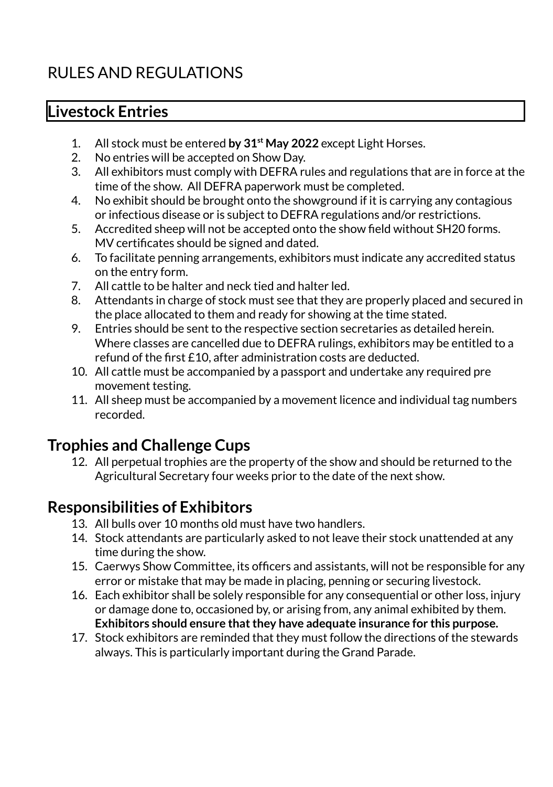# RULES AND REGULATIONS

### **Livestock Entries**

- 1. All stock must be entered **by 31 st May 2022** except Light Horses.
- 2. No entries will be accepted on Show Day.
- 3. All exhibitors must comply with DEFRA rules and regulations that are in force at the time of the show. All DEFRA paperwork must be completed.
- 4. No exhibit should be brought onto the showground if it is carrying any contagious or infectious disease or is subject to DEFRA regulations and/or restrictions.
- 5. Accredited sheep will not be accepted onto the show field without SH20 forms. MV certificates should be signed and dated.
- 6. To facilitate penning arrangements, exhibitors must indicate any accredited status on the entry form.
- 7. All cattle to be halter and neck tied and halter led.
- 8. Attendants in charge of stock must see that they are properly placed and secured in the place allocated to them and ready for showing at the time stated.
- 9. Entries should be sent to the respective section secretaries as detailed herein. Where classes are cancelled due to DEFRA rulings, exhibitors may be entitled to a refund of the first £10, after administration costs are deducted.
- 10. All cattle must be accompanied by a passport and undertake any required pre movement testing.
- 11. All sheep must be accompanied by a movement licence and individual tag numbers recorded.

# **Trophies and Challenge Cups**

12. All perpetual trophies are the property of the show and should be returned to the Agricultural Secretary four weeks prior to the date of the next show.

# **Responsibilities of Exhibitors**

- 13. All bulls over 10 months old must have two handlers.
- 14. Stock attendants are particularly asked to not leave their stock unattended at any time during the show.
- 15. Caerwys Show Committee, its officers and assistants, will not be responsible for any error or mistake that may be made in placing, penning or securing livestock.
- 16. Each exhibitor shall be solely responsible for any consequential or other loss, injury or damage done to, occasioned by, or arising from, any animal exhibited by them. **Exhibitors** should ensure that they have adequate insurance for this purpose.
- 17. Stock exhibitors are reminded that they must follow the directions of the stewards always. This is particularly important during the Grand Parade.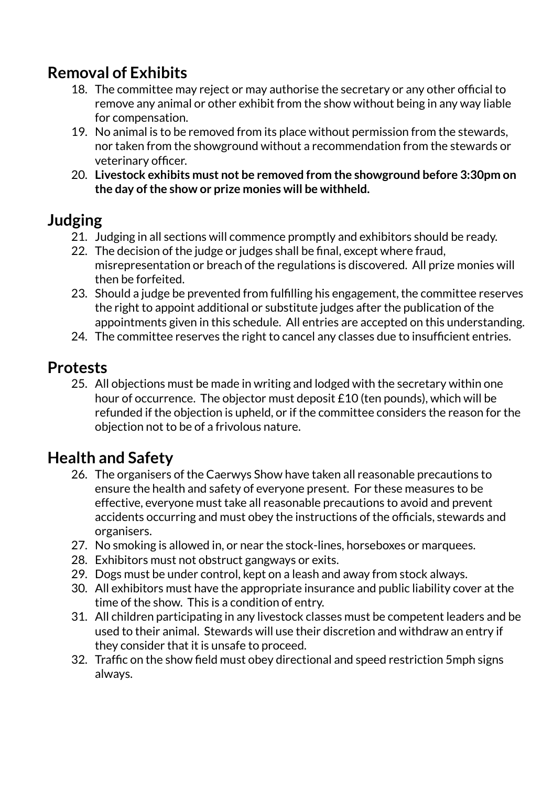# **Removal of Exhibits**

- 18. The committee may reject or may authorise the secretary or any other official to remove any animal or other exhibit from the show without being in any way liable for compensation.
- 19. No animal is to be removed from its place without permission from the stewards, nor taken from the showground without a recommendation from the stewards or veterinary officer.
- 20. **Livestock exhibits must not be removed from the showground before 3:30pm on the day of the show or prize monies will be withheld.**

# **Judging**

- 21. Judging in all sections will commence promptly and exhibitors should be ready.
- 22. The decision of the judge or judges shall be final, except where fraud, misrepresentation or breach of the regulations is discovered. All prize monies will then be forfeited.
- 23. Should a judge be prevented from fulfilling his engagement, the committee reserves the right to appoint additional or substitute judges after the publication of the appointments given in this schedule. All entries are accepted on this understanding.
- 24. The committee reserves the right to cancel any classes due to insufficient entries.

# **Protests**

25. All objections must be made in writing and lodged with the secretary within one hour of occurrence. The objector must deposit £10 (ten pounds), which will be refunded if the objection is upheld, or if the committee considers the reason for the objection not to be of a frivolous nature.

# **Health and Safety**

- 26. The organisers of the Caerwys Show have taken all reasonable precautions to ensure the health and safety of everyone present. For these measures to be effective, everyone must take all reasonable precautions to avoid and prevent accidents occurring and must obey the instructions of the officials, stewards and organisers.
- 27. No smoking is allowed in, or near the stock-lines, horseboxes or marquees.
- 28. Exhibitors must not obstruct gangways or exits.
- 29. Dogs must be under control, kept on a leash and away from stock always.
- 30. All exhibitors must have the appropriate insurance and public liability cover at the time of the show. This is a condition of entry.
- 31. All children participating in any livestock classes must be competent leaders and be used to their animal. Stewards will use their discretion and withdraw an entry if they consider that it is unsafe to proceed.
- 32. Traffic on the show field must obey directional and speed restriction 5mph signs always.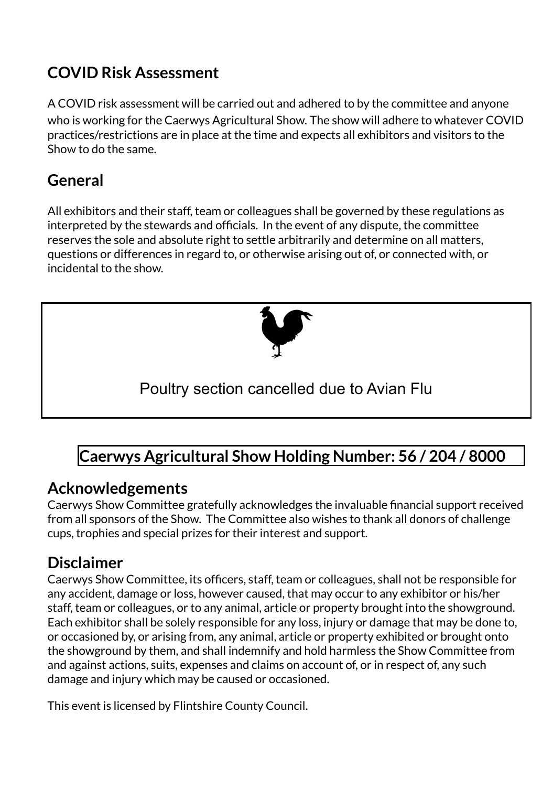# **COVID Risk Assessment**

A COVID risk assessment will be carried out and adhered to by the committee and anyone who is working for the Caerwys Agricultural Show. The show will adhere to whatever COVID practices/restrictions are in place at the time and expects all exhibitors and visitors to the Show to do the same.

# **General**

All exhibitors and their staff, team or colleagues shall be governed by these regulations as interpreted by the stewards and officials. In the event of any dispute, the committee reserves the sole and absolute right to settle arbitrarily and determine on all matters, questions or differences in regard to, or otherwise arising out of, or connected with, or incidental to the show.



# Poultry section cancelled due to Avian Flu

# **Caerwys Agricultural Show Holding Number: 56 / 204 / 8000**

### **Acknowledgements**

Caerwys Show Committee gratefully acknowledges the invaluable financial support received from all sponsors of the Show. The Committee also wishes to thank all donors of challenge cups, trophies and special prizes for their interest and support.

# **Disclaimer**

Caerwys Show Committee, its officers, staff, team or colleagues, shall not be responsible for any accident, damage or loss, however caused, that may occur to any exhibitor or his/her staff, team or colleagues, or to any animal, article or property brought into the showground. Each exhibitor shall be solely responsible for any loss, injury or damage that may be done to, or occasioned by, or arising from, any animal, article or property exhibited or brought onto the showground by them, and shall indemnify and hold harmless the Show Committee from and against actions, suits, expenses and claims on account of, or in respect of, any such damage and injury which may be caused or occasioned.

This event is licensed by Flintshire County Council.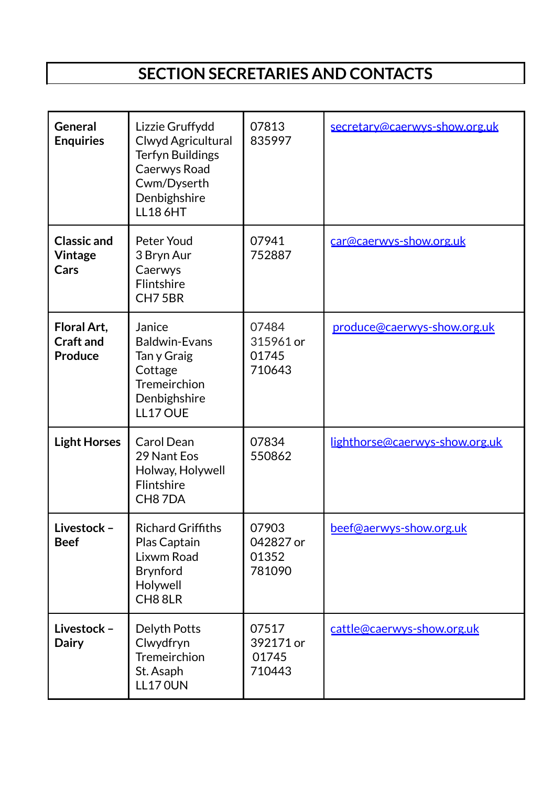# **SECTION SECRETARIES AND CONTACTS**

| General<br><b>Enquiries</b>                | Lizzie Gruffydd<br>Clwyd Agricultural<br><b>Terfyn Buildings</b><br>Caerwys Road<br>Cwm/Dyserth<br>Denbighshire<br><b>LL18 6HT</b> | 07813<br>835997                       | secretary@caerwys-show.org.uk  |
|--------------------------------------------|------------------------------------------------------------------------------------------------------------------------------------|---------------------------------------|--------------------------------|
| <b>Classic and</b><br>Vintage<br>Cars      | Peter Youd<br>3 Bryn Aur<br>Caerwys<br>Flintshire<br>CH75BR                                                                        | 07941<br>752887                       | car@caerwys-show.org.uk        |
| Floral Art,<br><b>Craft and</b><br>Produce | Janice<br><b>Baldwin-Evans</b><br>Tan y Graig<br>Cottage<br>Tremeirchion<br>Denbighshire<br>LL17 OUE                               | 07484<br>315961 or<br>01745<br>710643 | produce@caerwys-show.org.uk    |
| <b>Light Horses</b>                        | Carol Dean<br>29 Nant Eos<br>Holway, Holywell<br>Flintshire<br>CH87DA                                                              | 07834<br>550862                       | lighthorse@caerwys-show.org.uk |
| Livestock -<br><b>Beef</b>                 | <b>Richard Griffiths</b><br>Plas Captain<br>Lixwm Road<br>Brynford<br>Holywell<br>CH88LR                                           | 07903<br>042827 or<br>01352<br>781090 | beef@aerwys-show.org.uk        |
| Livestock -<br>Dairy                       | Delyth Potts<br>Clwydfryn<br>Tremeirchion<br>St. Asaph<br><b>LL17 0UN</b>                                                          | 07517<br>392171 or<br>01745<br>710443 | cattle@caerwys-show.org.uk     |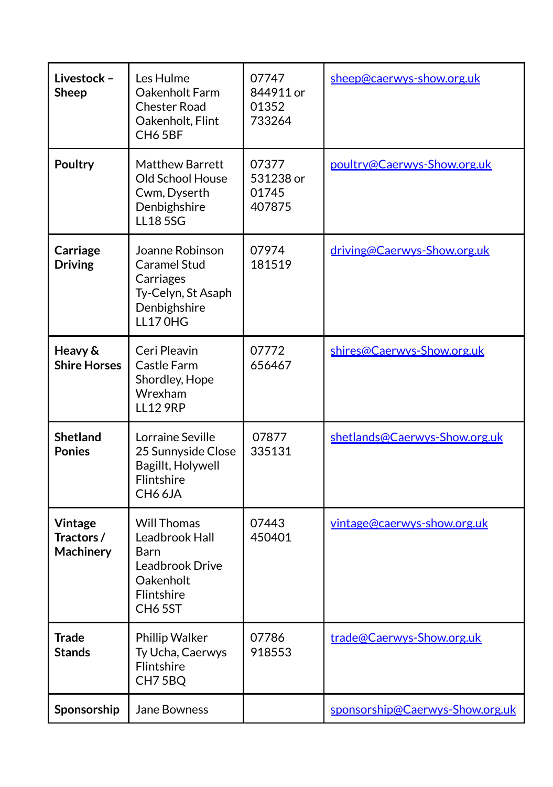| Livestock -<br>Sheep              | Les Hulme<br>Oakenholt Farm<br><b>Chester Road</b><br>Oakenholt, Flint<br>CH <sub>6</sub> 5BF        | 07747<br>844911 or<br>01352<br>733264 | sheep@caerwys-show.org.uk       |
|-----------------------------------|------------------------------------------------------------------------------------------------------|---------------------------------------|---------------------------------|
| <b>Poultry</b>                    | <b>Matthew Barrett</b><br>Old School House<br>Cwm, Dyserth<br>Denbighshire<br><b>LL185SG</b>         | 07377<br>531238 or<br>01745<br>407875 | poultry@Caerwys-Show.org.uk     |
| Carriage<br><b>Driving</b>        | Joanne Robinson<br>Caramel Stud<br>Carriages<br>Ty-Celyn, St Asaph<br>Denbighshire<br><b>LL170HG</b> | 07974<br>181519                       | driving@Caerwys-Show.org.uk     |
| Heavy &<br><b>Shire Horses</b>    | Ceri Pleavin<br>Castle Farm<br>Shordley, Hope<br>Wrexham<br><b>LL12 9RP</b>                          | 07772<br>656467                       | shires@Caerwys-Show.org.uk      |
| <b>Shetland</b><br><b>Ponies</b>  | Lorraine Seville<br>25 Sunnyside Close<br>Bagillt, Holywell<br>Flintshire<br>CH <sub>66</sub> JA     | 07877<br>335131                       | shetlands@Caerwys-Show.org.uk   |
| Vintage<br>Tractors/<br>Machinery | Will Thomas<br>Leadbrook Hall<br><b>Barn</b><br>Leadbrook Drive<br>Oakenholt<br>Flintshire<br>CH65ST | 07443<br>450401                       | vintage@caerwys-show.org.uk     |
| Trade<br><b>Stands</b>            | Phillip Walker<br>Ty Ucha, Caerwys<br>Flintshire<br>CH75BQ                                           | 07786<br>918553                       | trade@Caerwys-Show.org.uk       |
| Sponsorship                       | <b>Jane Bowness</b>                                                                                  |                                       | sponsorship@Caerwys-Show.org.uk |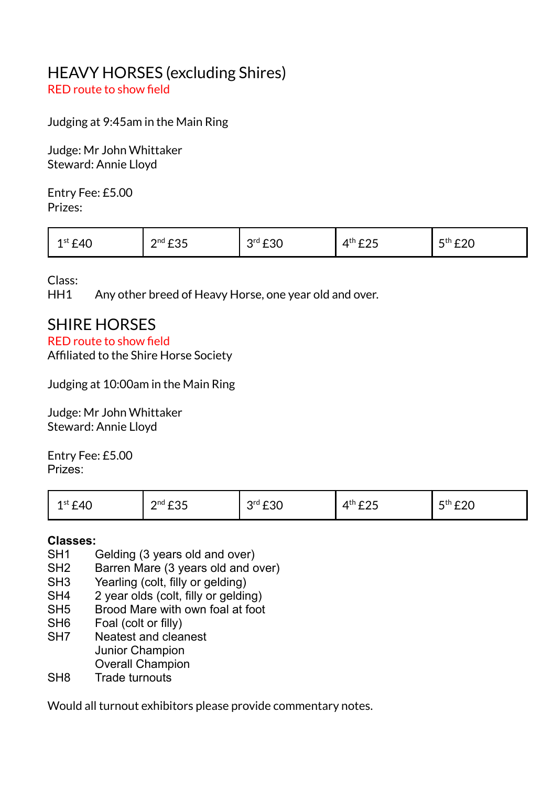# HEAVY HORSES (excluding Shires)

RED route to show field

Judging at 9:45am in the Main Ring

Judge: Mr John Whittaker Steward: Annie Lloyd

Entry Fee: £5.00 Prizes:

| エマニ<br>$\Omega$ nd<br>ord<br>$\sim$ $\sim$ $\sim$<br>$\Lambda^{\text{th}}$<br>$\sim$<br>4 st<br>f4ſ<br><br>. .<br>∟งบ<br>_<br>∸∠<br>u<br>⊥∪⊃<br>᠇◡<br>ᅩᅩ<br>◡<br>-<br>- -<br>$-$ |
|----------------------------------------------------------------------------------------------------------------------------------------------------------------------------------|
|----------------------------------------------------------------------------------------------------------------------------------------------------------------------------------|

Class:

HH1 Any other breed of Heavy Horse, one year old and over.

### SHIRE HORSES

RED route to show field

Affiliated to the Shire Horse Society

Judging at 10:00am in the Main Ring

Judge: Mr John Whittaker Steward: Annie Lloyd

Entry Fee: £5.00 Prizes:

| 1st $f4C$<br>᠇୰<br><u>_</u><br>- | <b>C35</b><br>ി <sup>nd</sup> പ<br>⊥∪∪<br>- | $\alpha$ rd<br>.000<br>∟ು∪<br>ີ | $\sim$ $\sim$ $\sim$<br>$\Lambda^{\text{th}}$<br>-<br>ᅩᅩ | $\sim$ $\sim$<br>EUI<br>∸∠<br>~ |
|----------------------------------|---------------------------------------------|---------------------------------|----------------------------------------------------------|---------------------------------|
|----------------------------------|---------------------------------------------|---------------------------------|----------------------------------------------------------|---------------------------------|

#### **Classes:**

- SH1 Gelding (3 years old and over)
- SH2 Barren Mare (3 years old and over)
- SH3 Yearling (colt, filly or gelding)
- SH4 2 year olds (colt, filly or gelding)
- SH5 Brood Mare with own foal at foot
- SH6 Foal (colt or filly)
- SH7 Neatest and cleanest Junior Champion Overall Champion
- SH8 Trade turnouts

Would all turnout exhibitors please provide commentary notes.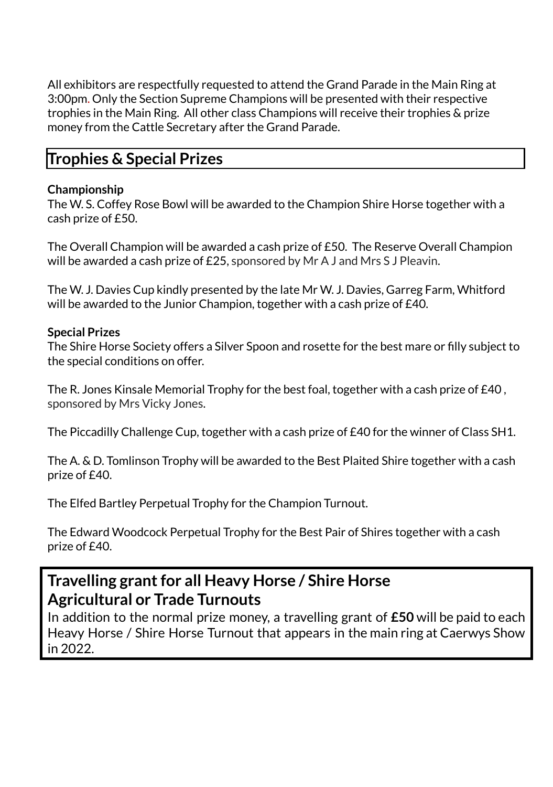All exhibitors are respectfully requested to attend the Grand Parade in the Main Ring at 3:00pm. Only the Section Supreme Champions will be presented with their respective trophies in the Main Ring. All other class Champions will receive their trophies & prize money from the Cattle Secretary after the Grand Parade.

## **Trophies & Special Prizes**

#### **Championship**

The W. S. Coffey Rose Bowl will be awarded to the Champion Shire Horse together with a cash prize of £50.

The Overall Champion will be awarded a cash prize of £50. The Reserve Overall Champion will be awarded a cash prize of £25, sponsored by Mr A J and Mrs S J Pleavin.

The W. J. Davies Cup kindly presented by the late Mr W. J. Davies, Garreg Farm, Whitford will be awarded to the Junior Champion, together with a cash prize of £40.

#### **Special Prizes**

The Shire Horse Society offers a Silver Spoon and rosette for the best mare or filly subject to the special conditions on offer.

The R. Jones Kinsale Memorial Trophy for the best foal, together with a cash prize of £40 , sponsored by Mrs Vicky Jones.

The Piccadilly Challenge Cup, together with a cash prize of £40 for the winner of Class SH1.

The A. & D. Tomlinson Trophy will be awarded to the Best Plaited Shire together with a cash prize of £40.

The Elfed Bartley Perpetual Trophy for the Champion Turnout.

The Edward Woodcock Perpetual Trophy for the Best Pair of Shires together with a cash prize of £40.

# **Travelling grantfor all Heavy Horse / Shire Horse Agricultural or Trade Turnouts**

In addition to the normal prize money, a travelling grant of **£50** will be paid to each Heavy Horse / Shire Horse Turnout that appears in the main ring at Caerwys Show in 2022.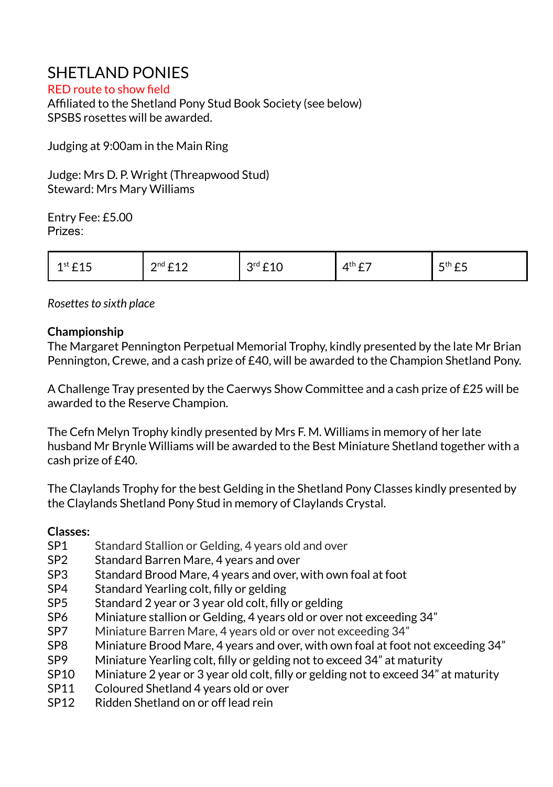### SHETI AND PONIES

#### RED route to show field

Affiliated to the Shetland Pony Stud Book Society (see below) SPSBS rosettes will be awarded.

Judging at 9:00am in the Main Ring

Judge: Mrs D. P. Wright (Threapwood Stud) Steward: Mrs Mary Williams

Entry Fee: £5.00 Prizes:

| $C = C$<br>ט כ<br>ᅩᅩ | 2ndL<br><u>_ _ _</u><br>- | 0.40<br>ord<br>ັ<br>∸∸∽ | $\mathbf{\Lambda}^{\text{th}}$<br>$\sim$<br>_<br><u>.</u> , | $- +$ h<br>$\sim$ $\sim$<br>ٮ<br><u>. .</u> |
|----------------------|---------------------------|-------------------------|-------------------------------------------------------------|---------------------------------------------|
|                      |                           |                         |                                                             |                                             |

*Rosettesto sixth place*

#### **Championship**

The Margaret Pennington Perpetual Memorial Trophy, kindly presented by the late Mr Brian Pennington, Crewe, and a cash prize of £40, will be awarded to the Champion Shetland Pony.

A Challenge Tray presented by the Caerwys Show Committee and a cash prize of £25 will be awarded to the Reserve Champion.

The Cefn Melyn Trophy kindly presented by Mrs F. M. Williams in memory of her late husband Mr Brynle Williams will be awarded to the Best Miniature Shetland together with a cash prize of £40.

The Claylands Trophy for the best Gelding in the Shetland Pony Classes kindly presented by the Claylands Shetland Pony Stud in memory of Claylands Crystal.

- SP1 Standard Stallion or Gelding, 4 years old and over
- SP2 Standard Barren Mare, 4 years and over
- SP3 Standard Brood Mare, 4 years and over, with own foal at foot
- SP4 Standard Yearling colt, filly or gelding
- SP5 Standard 2 year or 3 year old colt, filly or gelding
- SP6 Miniature stallion or Gelding, 4 years old or over not exceeding 34"
- SP7 Miniature Barren Mare, 4 years old or over not exceeding 34"
- SP8 Miniature Brood Mare, 4 years and over, with own foal at foot not exceeding 34"
- SP9 Miniature Yearling colt, filly or gelding not to exceed 34" at maturity
- SP10 Miniature 2 year or 3 year old colt, filly or gelding not to exceed 34" at maturity
- SP11 Coloured Shetland 4 years old or over
- SP12 Ridden Shetland on or off lead rein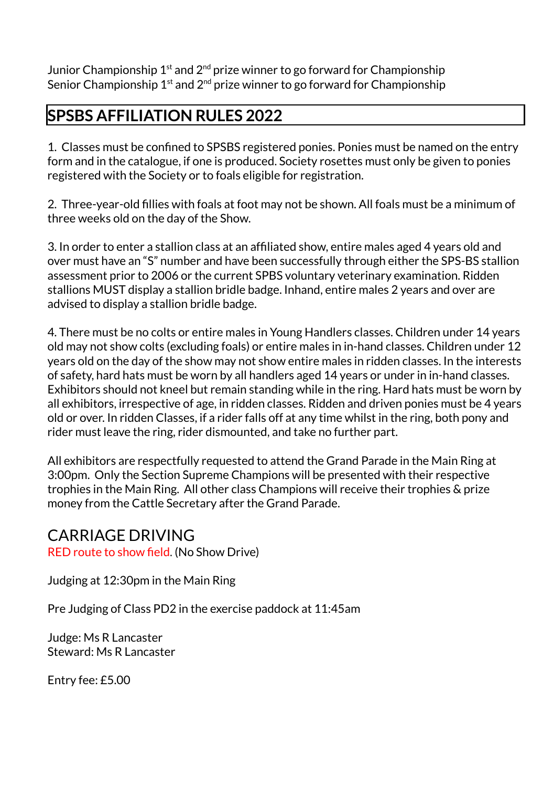Junior Championship  $1<sup>st</sup>$  and  $2<sup>nd</sup>$  prize winner to go forward for Championship Senior Championship  $1^{\text{st}}$  and  $2^{\text{nd}}$  prize winner to go forward for Championship

# **SPSBS AFFILIATION RULES 2022**

1. Classes must be confined to SPSBS registered ponies. Ponies must be named on the entry form and in the catalogue, if one is produced. Society rosettes must only be given to ponies registered with the Society or to foals eligible for registration.

2. Three-year-old fillies with foals at foot may not be shown. All foals must be a minimum of three weeks old on the day of the Show.

3. In order to enter a stallion class at an affiliated show, entire males aged 4 years old and over must have an "S" number and have been successfully through either the SPS-BS stallion assessment prior to 2006 or the current SPBS voluntary veterinary examination. Ridden stallions MUST display a stallion bridle badge. Inhand, entire males 2 years and over are advised to display a stallion bridle badge.

4. There must be no colts or entire males in Young Handlers classes. Children under 14 years old may not show colts (excluding foals) or entire males in in-hand classes. Children under 12 years old on the day of the show may not show entire males in ridden classes. In the interests of safety, hard hats must be worn by all handlers aged 14 years or under in in-hand classes. Exhibitors should not kneel but remain standing while in the ring. Hard hats must be worn by all exhibitors, irrespective of age, in ridden classes. Ridden and driven ponies must be 4 years old or over. In ridden Classes, if a rider falls off at any time whilst in the ring, both pony and rider must leave the ring, rider dismounted, and take no further part.

All exhibitors are respectfully requested to attend the Grand Parade in the Main Ring at 3:00pm. Only the Section Supreme Champions will be presented with their respective trophies in the Main Ring. All other class Champions will receive their trophies & prize money from the Cattle Secretary after the Grand Parade.

### CARRIAGE DRIVING

RED route to show field. (No Show Drive)

Judging at 12:30pm in the Main Ring

Pre Judging of Class PD2 in the exercise paddock at 11:45am

Judge: Ms R Lancaster Steward: Ms R Lancaster

Entry fee: £5.00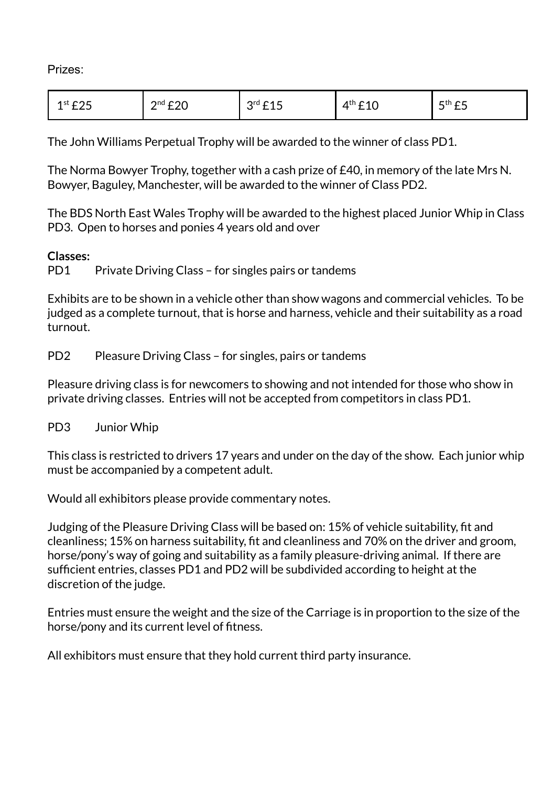Prizes:

| 0.005<br>1st,<br>,,<br>∸∸<br><b>.</b><br>- | £20<br>$\lambda$ nd<br>∸∠ | $\sim$ $\sim$ $\sim$<br>$\alpha$ rd<br>u<br>ᅩᅩ | 0.40<br>$\Lambda^{\text{th}}$<br>-<br>__ | E <sub>th</sub><br>$\sim$ $\sim$<br>∸<br>. .<br>◡<br>ت |
|--------------------------------------------|---------------------------|------------------------------------------------|------------------------------------------|--------------------------------------------------------|
|--------------------------------------------|---------------------------|------------------------------------------------|------------------------------------------|--------------------------------------------------------|

The John Williams Perpetual Trophy will be awarded to the winner of class PD1.

The Norma Bowyer Trophy, together with a cash prize of £40, in memory of the late Mrs N. Bowyer, Baguley, Manchester, will be awarded to the winner of Class PD2.

The BDS North East Wales Trophy will be awarded to the highest placed Junior Whip in Class PD3. Open to horses and ponies 4 years old and over

**Classes:**

Private Driving Class – for singles pairs or tandems

Exhibits are to be shown in a vehicle other than show wagons and commercial vehicles. To be judged as a complete turnout, that is horse and harness, vehicle and their suitability as a road turnout.

PD2 Pleasure Driving Class – for singles, pairs or tandems

Pleasure driving class is for newcomers to showing and not intended for those who show in private driving classes. Entries will not be accepted from competitors in class PD1.

PD3 Junior Whip

This class is restricted to drivers 17 years and under on the day of the show. Each junior whip must be accompanied by a competent adult.

Would all exhibitors please provide commentary notes.

Judging of the Pleasure Driving Class will be based on: 15% of vehicle suitability, fit and cleanliness; 15% on harness suitability, fit and cleanliness and 70% on the driver and groom, horse/pony's way of going and suitability as a family pleasure-driving animal. If there are sufficient entries, classes PD1 and PD2 will be subdivided according to height at the discretion of the judge.

Entries must ensure the weight and the size of the Carriage is in proportion to the size of the horse/pony and its current level of fitness.

All exhibitors must ensure that they hold current third party insurance.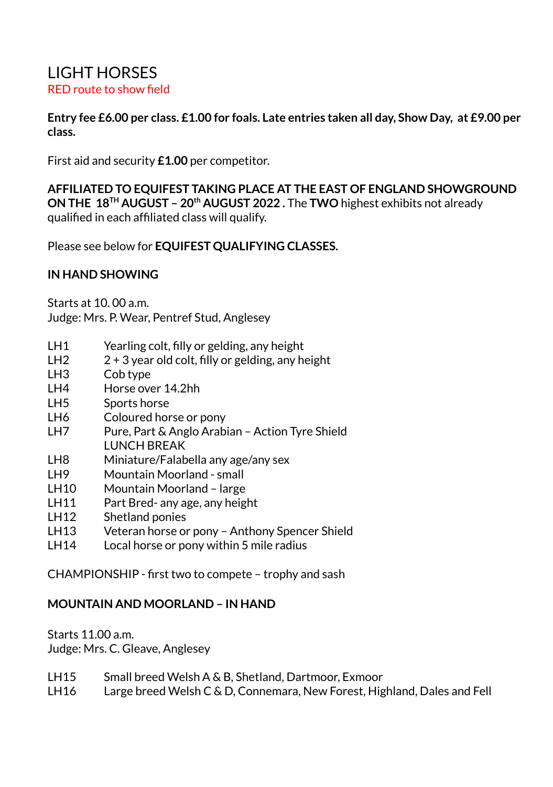### LIGHT HORSES RED route to show field

**Entry fee £6.00 per class. £1.00 for foals. Late entries taken all day, Show Day, at £9.00 per class.**

First aid and security **£1.00** per competitor.

**AFFILIATED TO EQUIFEST TAKING PLACE AT THE EAST OF ENGLAND SHOWGROUND ON THE 18 TH AUGUST – 20 th AUGUST 2022 .** The **TWO** highest exhibits not already qualified in each affiliated class will qualify.

Please see below for **EQUIFEST QUALIFYING CLASSES.**

#### **IN HAND SHOWING**

Starts at 10. 00 a.m. Judge: Mrs. P. Wear, Pentref Stud, Anglesey

- LH1 Yearling colt, filly or gelding, any height
- LH2  $2 + 3$  year old colt, filly or gelding, any height
- LH3 Cob type
- LH4 Horse over 14.2hh
- LH5 Sports horse
- LH6 Coloured horse or pony
- LH7 Pure, Part & Anglo Arabian Action Tyre Shield LUNCH BREAK
- LH8 Miniature/Falabella any age/any sex
- LH9 Mountain Moorland small
- LH10 Mountain Moorland large
- LH11 Part Bred- any age, any height
- LH12 Shetland ponies
- LH13 Veteran horse or pony Anthony Spencer Shield
- LH14 Local horse or pony within 5 mile radius

CHAMPIONSHIP - first two to compete – trophy and sash

#### **MOUNTAIN AND MOORLAND – IN HAND**

Starts  $11.00 a m$ Judge: Mrs. C. Gleave, Anglesey

- LH15 Small breed Welsh A & B, Shetland, Dartmoor, Exmoor
- LH16 Large breed Welsh C & D, Connemara, New Forest, Highland, Dales and Fell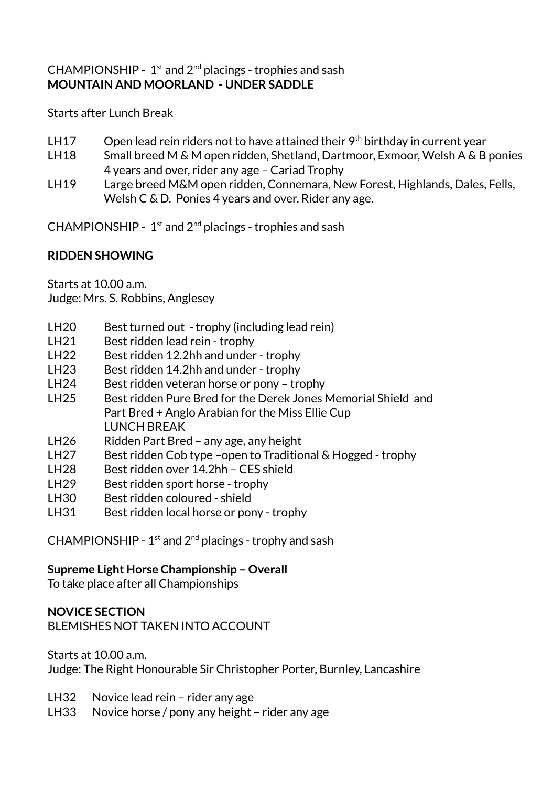#### CHAMPIONSHIP -  $1<sup>st</sup>$  and  $2<sup>nd</sup>$  placings - trophies and sash **MOUNTAIN AND MOORLAND - UNDER SADDLE**

Starts after Lunch Break

- LH17 Open lead rein riders not to have attained their 9<sup>th</sup> birthday in current year
- LH18 Small breed M & M open ridden, Shetland, Dartmoor, Exmoor, Welsh A & B ponies 4 years and over, rider any age – Cariad Trophy
- LH19 Large breed M&M open ridden, Connemara, New Forest, Highlands, Dales, Fells, Welsh C & D. Ponies 4 years and over. Rider any age.

CHAMPIONSHIP -  $1<sup>st</sup>$  and  $2<sup>nd</sup>$  placings - trophies and sash

#### **RIDDEN SHOWING**

Starts at  $10.00$  a.m. Judge: Mrs. S. Robbins, Anglesey

- LH20 Best turned out trophy (including lead rein)
- LH21 Best ridden lead rein trophy
- LH22 Best ridden 12.2hh and under trophy
- LH23 Best ridden 14.2hh and under trophy
- LH24 Best ridden veteran horse or pony trophy
- LH25 Best ridden Pure Bred for the Derek Jones Memorial Shield and Part Bred + Anglo Arabian for the Miss Ellie Cup LUNCH BREAK
- LH26 Ridden Part Bred any age, any height
- LH27 Best ridden Cob type -open to Traditional & Hogged trophy
- LH28 Best ridden over 14.2hh CES shield
- LH29 Best ridden sport horse trophy
- LH30 Best ridden coloured shield
- LH31 Best ridden local horse or pony trophy

CHAMPIONSHIP -  $1<sup>st</sup>$  and  $2<sup>nd</sup>$  placings - trophy and sash

#### **Supreme Light Horse Championship – Overall**

To take place after all Championships

#### **NOVICE SECTION**

BLEMISHES NOT TAKEN INTO ACCOUNT

Starts at  $10.00$  a.m.

Judge: The Right Honourable Sir Christopher Porter, Burnley, Lancashire

- LH32 Novice lead rein rider any age
- LH33 Novice horse / pony any height rider any age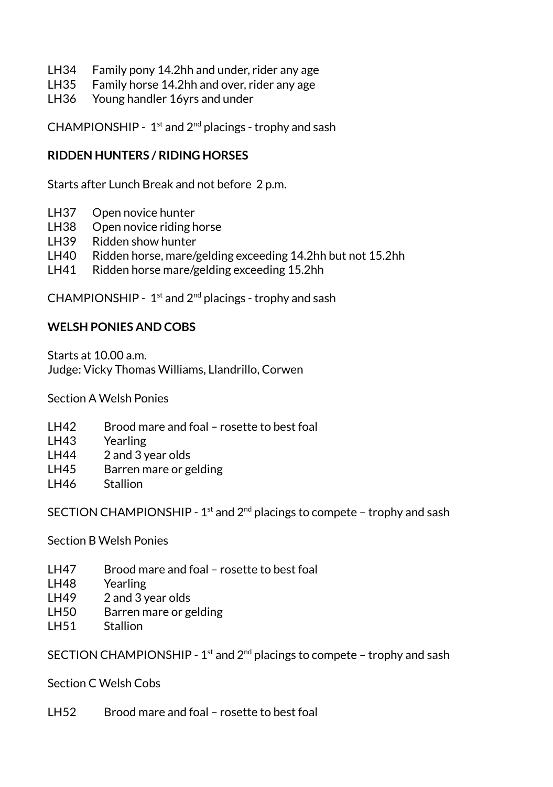- LH34 Family pony 14.2hh and under, rider any age
- LH35 Family horse 14.2hh and over, rider any age
- LH36 Young handler 16yrs and under

CHAMPIONSHIP -  $1<sup>st</sup>$  and  $2<sup>nd</sup>$  placings - trophy and sash

#### **RIDDEN HUNTERS / RIDING HORSES**

Starts after Lunch Break and not before 2 p.m.

- LH37 Open novice hunter
- LH38 Open novice riding horse
- LH39 Ridden show hunter
- LH40 Ridden horse, mare/gelding exceeding 14.2hh but not 15.2hh
- LH41 Ridden horse mare/gelding exceeding 15.2hh

CHAMPIONSHIP -  $1<sup>st</sup>$  and  $2<sup>nd</sup>$  placings - trophy and sash

#### **WELSH PONIES AND COBS**

Starts at 10.00 a.m. Judge: Vicky Thomas Williams, Llandrillo, Corwen

Section A Welsh Ponies

- LH42 Brood mare and foal rosette to best foal
- LH43 Yearling
- LH44 2 and 3 year olds
- LH45 Barren mare or gelding
- LH46 Stallion

SECTION CHAMPIONSHIP -  $1<sup>st</sup>$  and  $2<sup>nd</sup>$  placings to compete – trophy and sash

Section B Welsh Ponies

- LH47 Brood mare and foal rosette to best foal
- LH48 Yearling
- LH49 2 and 3 year olds
- LH50 Barren mare or gelding
- LH51 Stallion

SECTION CHAMPIONSHIP -  $1<sup>st</sup>$  and  $2<sup>nd</sup>$  placings to compete – trophy and sash

Section C Welsh Cobs

LH52 Brood mare and foal – rosette to best foal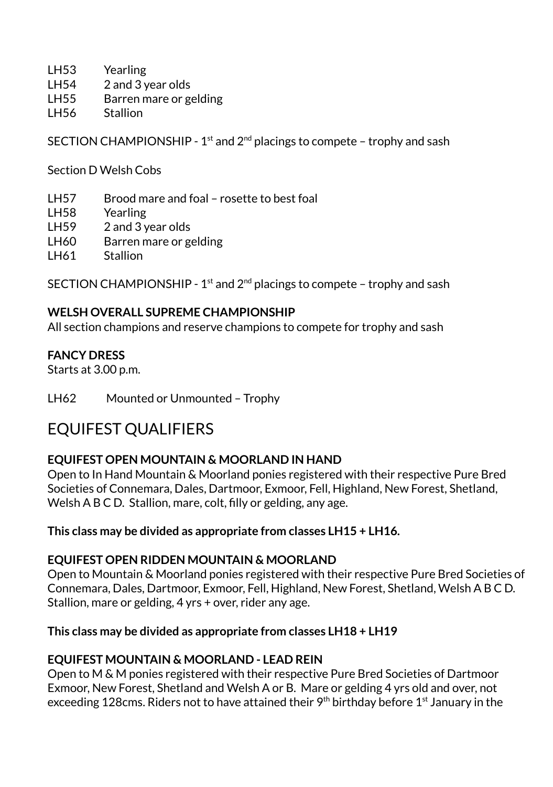- LH53 Yearling
- LH54 2 and 3 year olds
- LH55 Barren mare or gelding
- LH56 Stallion

SECTION CHAMPIONSHIP -  $1<sup>st</sup>$  and  $2<sup>nd</sup>$  placings to compete – trophy and sash

Section D Welsh Cobs

- LH57 Brood mare and foal rosette to best foal
- LH58 Yearling
- LH59 2 and 3 year olds
- LH60 Barren mare or gelding
- LH61 Stallion

SECTION CHAMPIONSHIP -  $1<sup>st</sup>$  and  $2<sup>nd</sup>$  placings to compete – trophy and sash

#### **WELSH OVERALL SUPREME CHAMPIONSHIP**

All section champions and reserve champions to compete for trophy and sash

#### **FANCY DRESS**

Starts at 3.00 p.m.

LH62 Mounted or Unmounted – Trophy

# EQUIFEST QUALIFIERS

#### **EQUIFEST OPEN MOUNTAIN & MOORLAND IN HAND**

Open to In Hand Mountain & Moorland ponies registered with their respective Pure Bred Societies of Connemara, Dales, Dartmoor, Exmoor, Fell, Highland, New Forest, Shetland, Welsh A B C D. Stallion, mare, colt, filly or gelding, any age.

#### **This class may be divided as appropriate from classes LH15 + LH16.**

#### **EQUIFEST OPEN RIDDEN MOUNTAIN & MOORLAND**

Open to Mountain & Moorland ponies registered with their respective Pure Bred Societies of Connemara, Dales, Dartmoor, Exmoor, Fell, Highland, New Forest, Shetland, Welsh A B C D. Stallion, mare or gelding, 4 yrs + over, rider any age.

#### **This class may be divided as appropriate from classes LH18 + LH19**

#### **EQUIFEST MOUNTAIN & MOORLAND - LEAD REIN**

Open to M & M ponies registered with their respective Pure Bred Societies of Dartmoor Exmoor, New Forest, Shetland and Welsh A or B. Mare or gelding 4 yrs old and over, not exceeding 128cms. Riders not to have attained their 9<sup>th</sup> birthday before 1st January in the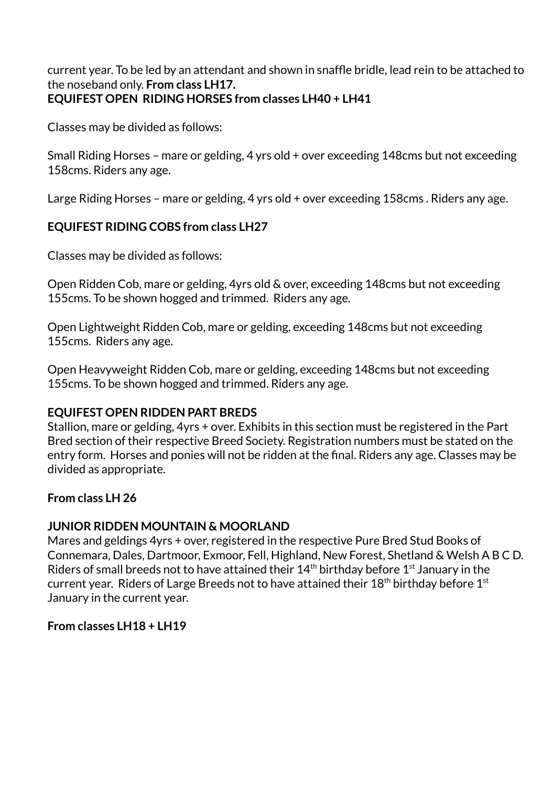#### current year. To be led by an attendant and shown in snaffle bridle, lead rein to be attached to the noseband only. **From class LH17. EQUIFEST OPEN RIDING HORSES from classes LH40 + LH41**

Classes may be divided as follows:

Small Riding Horses – mare or gelding, 4 yrs old + over exceeding 148cms but not exceeding 158cms. Riders any age.

Large Riding Horses – mare or gelding, 4 yrs old + over exceeding 158cms . Riders any age.

#### **EQUIFEST RIDING COBS from class LH27**

Classes may be divided as follows:

Open Ridden Cob, mare or gelding, 4yrs old & over, exceeding 148cms but not exceeding 155cms. To be shown hogged and trimmed. Riders any age.

Open Lightweight Ridden Cob, mare or gelding, exceeding 148cms but not exceeding 155cms. Riders any age.

Open Heavyweight Ridden Cob, mare or gelding, exceeding 148cms but not exceeding 155cms. To be shown hogged and trimmed. Riders any age.

#### **EQUIFEST OPEN RIDDEN PART BREDS**

Stallion, mare or gelding, 4yrs + over. Exhibits in this section must be registered in the Part Bred section of their respective Breed Society. Registration numbers must be stated on the entry form. Horses and ponies will not be ridden at the final. Riders any age. Classes may be divided as appropriate.

#### **From class LH 26**

#### **JUNIOR RIDDEN MOUNTAIN & MOORLAND**

Mares and geldings 4yrs + over, registered in the respective Pure Bred Stud Books of Connemara, Dales, Dartmoor, Exmoor, Fell, Highland, New Forest, Shetland & Welsh A B C D. Riders of small breeds not to have attained their  $14^{\text{th}}$  birthday before  $1^{\text{st}}$  January in the current year. Riders of Large Breeds not to have attained their  $18^{\rm th}$  birthday before  $1^{\rm st}$ January in the current year.

#### **From classes LH18 + LH19**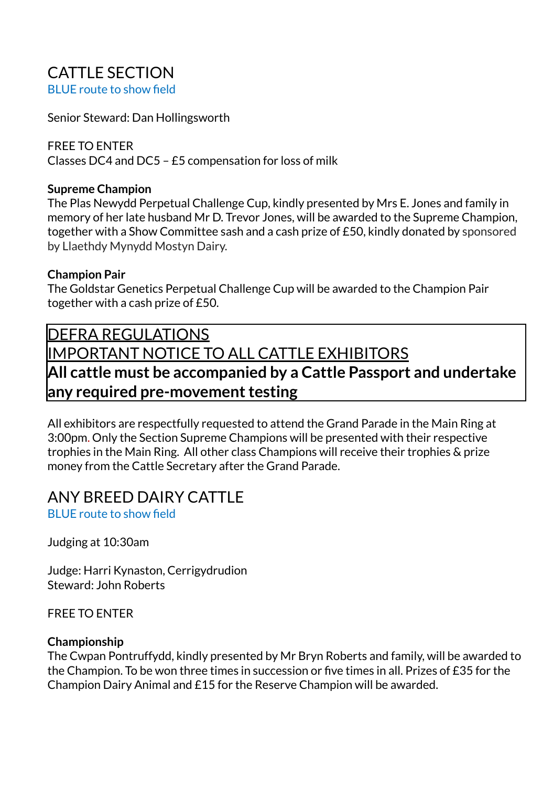# CATTLE SECTION

BLUE route to show field

Senior Steward: Dan Hollingsworth

FREE TO ENTER Classes DC4 and DC5 – £5 compensation for loss of milk

#### **Supreme Champion**

The Plas Newydd Perpetual Challenge Cup, kindly presented by Mrs E. Jones and family in memory of her late husband Mr D. Trevor Jones, will be awarded to the Supreme Champion, together with a Show Committee sash and a cash prize of £50, kindly donated by sponsored by Llaethdy Mynydd Mostyn Dairy.

#### **Champion Pair**

The Goldstar Genetics Perpetual Challenge Cup will be awarded to the Champion Pair together with a cash prize of £50.

### DEFRA REGULATIONS IMPORTANT NOTICE TO ALL CATTLE EXHIBITORS **All cattle must be accompanied by a Cattle Passport and undertake any** required pre-movement testing

All exhibitors are respectfully requested to attend the Grand Parade in the Main Ring at 3:00pm. Only the Section Supreme Champions will be presented with their respective trophies in the Main Ring. All other class Champions will receive their trophies & prize money from the Cattle Secretary after the Grand Parade.

### ANY BREED DAIRY CATTLE

BLUE route to show field

Judging at 10:30am

Judge: Harri Kynaston, Cerrigydrudion Steward: John Roberts

FREE TO ENTER

#### **Championship**

The Cwpan Pontruffydd, kindly presented by Mr Bryn Roberts and family, will be awarded to the Champion. To be won three times in succession or five times in all. Prizes of £35 for the Champion Dairy Animal and £15 for the Reserve Champion will be awarded.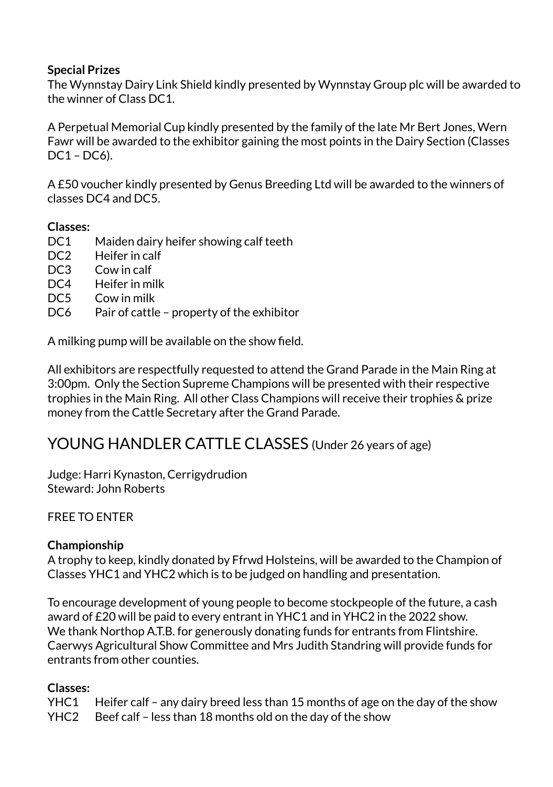#### **Special Prizes**

The Wynnstay Dairy Link Shield kindly presented by Wynnstay Group plc will be awarded to the winner of Class DC1.

A Perpetual Memorial Cup kindly presented by the family of the late Mr Bert Jones, Wern Fawr will be awarded to the exhibitor gaining the most points in the Dairy Section (Classes DC1 – DC6).

A £50 voucher kindly presented by Genus Breeding Ltd will be awarded to the winners of classes DC4 and DC5.

#### **Classes:**

- DC1 Maiden dairy heifer showing calf teeth
- DC2 Heifer in calf
- DC3 Cow in calf
- DC4 Heifer in milk
- DC5 Cow in milk
- DC6 Pair of cattle property of the exhibitor

A milking pump will be available on the show field.

All exhibitors are respectfully requested to attend the Grand Parade in the Main Ring at 3:00pm. Only the Section Supreme Champions will be presented with their respective trophies in the Main Ring. All other Class Champions will receive their trophies & prize money from the Cattle Secretary after the Grand Parade.

### YOUNG HANDLER CATTLE CLASSES (Under 26 years of age)

Judge: Harri Kynaston, Cerrigydrudion Steward: John Roberts

#### FREE TO ENTER

#### **Championship**

A trophy to keep, kindly donated by Ffrwd Holsteins, will be awarded to the Champion of Classes YHC1 and YHC2 which is to be judged on handling and presentation.

To encourage development of young people to become stockpeople of the future, a cash award of £20 will be paid to every entrant in YHC1 and in YHC2 in the 2022 show. We thank Northop A.T.B. for generously donating funds for entrants from Flintshire. Caerwys Agricultural Show Committee and Mrs Judith Standring will provide funds for entrants from other counties.

#### **Classes:**

YHC1 Heifer calf – any dairy breed less than 15 months of age on the day of the show YHC2 Beef calf – less than 18 months old on the day of the show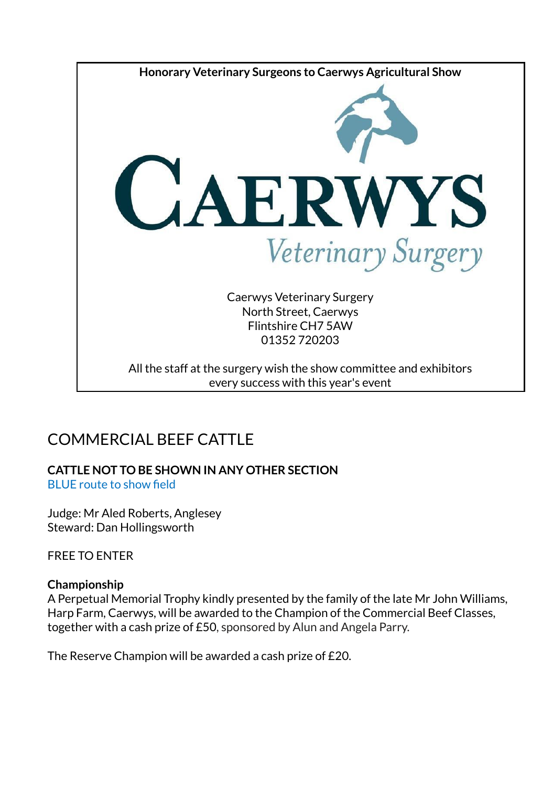

# COMMERCIAL BEEF CATTLE

**CATTLE NOT TO BE SHOWN IN ANY OTHER SECTION**

BLUE route to show field

Judge: Mr Aled Roberts, Anglesey Steward: Dan Hollingsworth

FREE TO ENTER

#### **Championship**

A Perpetual Memorial Trophy kindly presented by the family of the late Mr John Williams, Harp Farm, Caerwys, will be awarded to the Champion of the Commercial Beef Classes, together with a cash prize of £50, sponsored by Alun and Angela Parry.

The Reserve Champion will be awarded a cash prize of £20.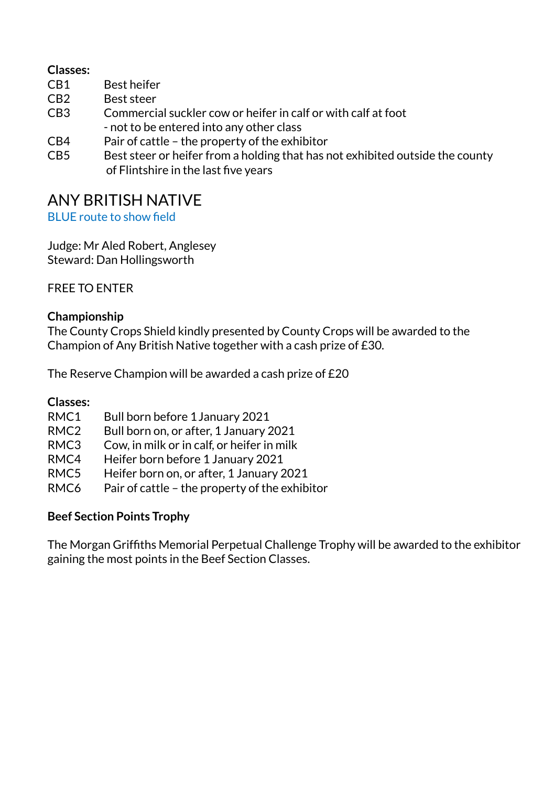#### **Classes:**

- CB1 Best heifer
- CB2 Best steer<br>CB3 Commerci
- Commercial suckler cow or heifer in calf or with calf at foot - not to be entered into any other class
- CB4 Pair of cattle the property of the exhibitor
- CB5 Best steer or heifer from a holding that has not exhibited outside the county of Flintshire in the last five years

### ANY BRITISH NATIVE

BLUE route to show field

Judge: Mr Aled Robert, Anglesey Steward: Dan Hollingsworth

FREE TO ENTER

#### **Championship**

The County Crops Shield kindly presented by County Crops will be awarded to the Champion of Any British Native together with a cash prize of £30.

The Reserve Champion will be awarded a cash prize of £20

#### **Classes:**

- RMC1 Bull born before 1 January 2021
- RMC2 Bull born on, or after, 1 January 2021
- RMC3 Cow, in milk or in calf, or heifer in milk
- RMC4 Heifer born before 1 January 2021
- RMC5 Heifer born on, or after, 1 January 2021
- RMC6 Pair of cattle the property of the exhibitor

#### **Beef Section Points Trophy**

The Morgan Griffiths Memorial Perpetual Challenge Trophy will be awarded to the exhibitor gaining the most points in the Beef Section Classes.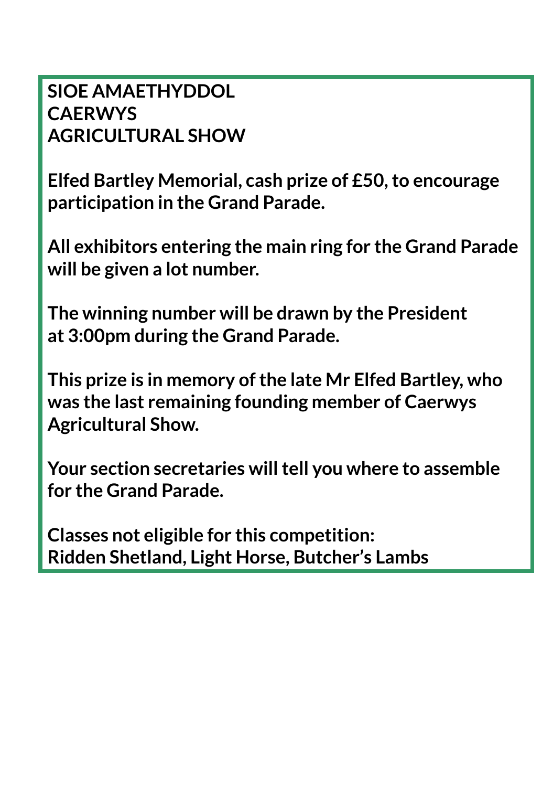**SIOE AMAETHYDDOL CAERWYS AGRICULTURAL SHOW**

**Elfed Bartley Memorial, cash prize of £50,to encourage participation in the Grand Parade.**

**All exhibitors entering the main ring for the Grand Parade will be given a lot number.**

**The winning number will be drawn by the President at 3:00pm during the Grand Parade.**

**This prize is in memory ofthe late Mr Elfed Bartley, who was the last remaining founding member of Caerwys Agricultural Show.**

**Your section secretaries willtell you where to assemble for the Grand Parade.**

**Classes not eligible for this competition: Ridden Shetland, Light Horse, Butcher's Lambs**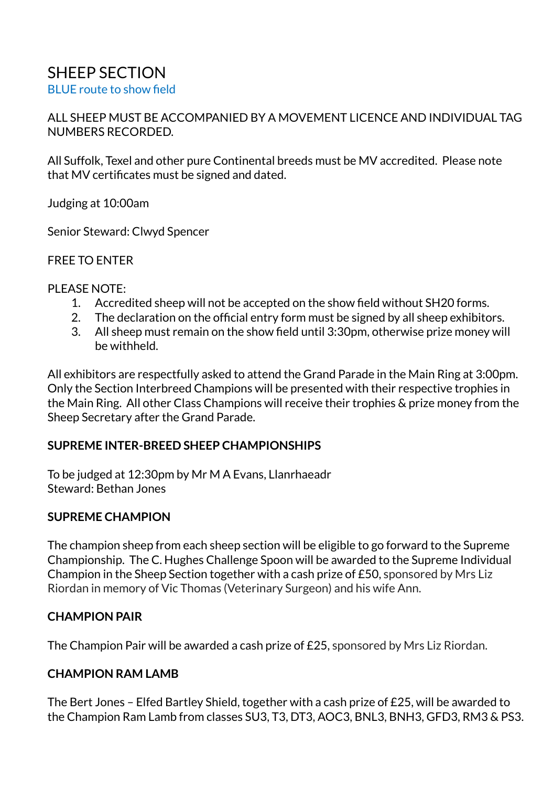# SHEEP SECTION

BLUE route to show field

#### ALL SHEEP MUST BE ACCOMPANIED BY A MOVEMENT LICENCE AND INDIVIDUAL TAG NUMBERS RECORDED.

All Suffolk, Texel and other pure Continental breeds must be MV accredited. Please note that MV certificates must be signed and dated.

Judging at 10:00am

Senior Steward: Clwyd Spencer

#### FREE TO ENTER

#### PI FASE NOTE:

- 1. Accredited sheep will not be accepted on the show field without SH20 forms.
- 2. The declaration on the official entry form must be signed by all sheep exhibitors.
- 3. All sheep must remain on the show field until 3:30pm, otherwise prize money will be withheld.

All exhibitors are respectfully asked to attend the Grand Parade in the Main Ring at 3:00pm. Only the Section Interbreed Champions will be presented with their respective trophies in the Main Ring. All other Class Champions will receive their trophies & prize money from the Sheep Secretary after the Grand Parade.

#### **SUPREME INTER-BREED SHEEP CHAMPIONSHIPS**

To be judged at 12:30pm by Mr M A Evans, Llanrhaeadr Steward: Bethan Jones

#### **SUPREME CHAMPION**

The champion sheep from each sheep section will be eligible to go forward to the Supreme Championship. The C. Hughes Challenge Spoon will be awarded to the Supreme Individual Champion in the Sheep Section together with a cash prize of £50, sponsored by Mrs Liz Riordan in memory of Vic Thomas (Veterinary Surgeon) and his wife Ann.

#### **CHAMPION PAIR**

The Champion Pair will be awarded a cash prize of £25, sponsored by Mrs Liz Riordan.

#### **CHAMPION RAM LAMB**

The Bert Jones – Elfed Bartley Shield, together with a cash prize of £25, will be awarded to the Champion Ram Lamb from classes SU3, T3, DT3, AOC3, BNL3, BNH3, GFD3, RM3 & PS3.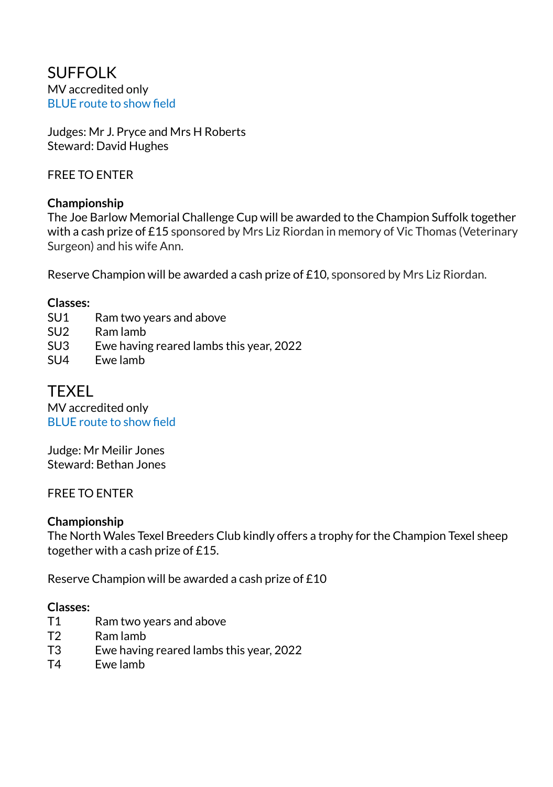#### SUFFOLK MV accredited only BLUE route to show field

Judges: Mr J. Pryce and Mrs H Roberts Steward: David Hughes

#### FREE TO ENTER

#### **Championship**

The Joe Barlow Memorial Challenge Cup will be awarded to the Champion Suffolk together with a cash prize of £15 sponsored by Mrs Liz Riordan in memory of Vic Thomas (Veterinary Surgeon) and his wife Ann.

Reserve Champion will be awarded a cash prize of £10, sponsored by Mrs Liz Riordan.

#### **Classes:**

- SU1 Ram two years and above
- SU2 Ram lamb
- SU3 Ewe having reared lambs this year, 2022
- SU4 Ewe lamb

**TFXFL** MV accredited only BLUE route to show field

Judge: Mr Meilir Jones Steward: Bethan Jones

#### FREE TO ENTER

#### **Championship**

The North Wales Texel Breeders Club kindly offers a trophy for the Champion Texel sheep together with a cash prize of £15.

Reserve Champion will be awarded a cash prize of £10

- T1 Ram two years and above
- T2 Ram lamb
- T3 Ewe having reared lambs this year, 2022
- T4 Ewe lamb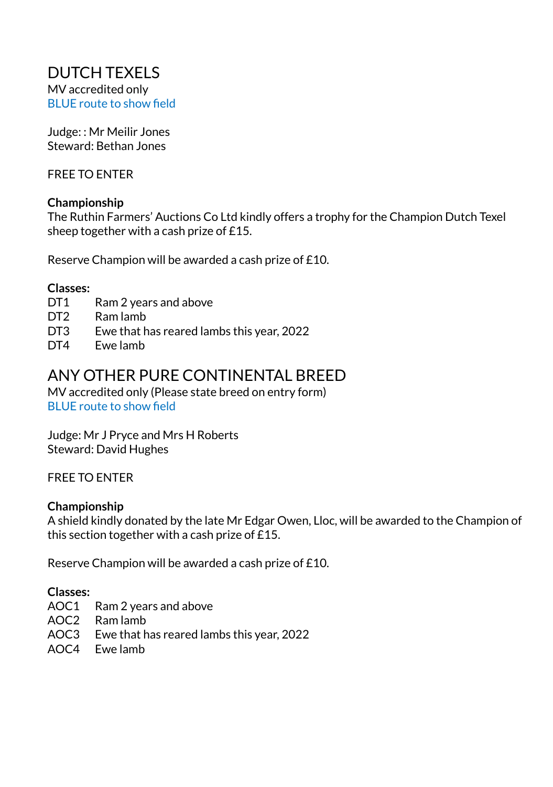#### DUTCH TEXELS MV accredited only BLUE route to show field

Judge: : Mr Meilir Jones Steward: Bethan Jones

FREE TO ENTER

#### **Championship**

The Ruthin Farmers' Auctions Co Ltd kindly offers a trophy for the Champion Dutch Texel sheep together with a cash prize of £15.

Reserve Champion will be awarded a cash prize of £10.

#### **Classes:**

- DT1 Ram 2 years and above
- DT2 Ram lamb
- DT3 Ewe that has reared lambs this year, 2022
- DT4 Ewe lamb

### ANY OTHER PURE CONTINENTAL BREED

MV accredited only (Please state breed on entry form) BLUE route to show field

Judge: Mr J Pryce and Mrs H Roberts Steward: David Hughes

#### FREE TO ENTER

#### **Championship**

A shield kindly donated by the late Mr Edgar Owen, Lloc, will be awarded to the Champion of this section together with a cash prize of £15.

Reserve Champion will be awarded a cash prize of £10.

- AOC1 Ram 2 years and above
- AOC2 Ram lamb
- AOC3 Ewe that has reared lambs this year, 2022
- AOC4 Ewe lamb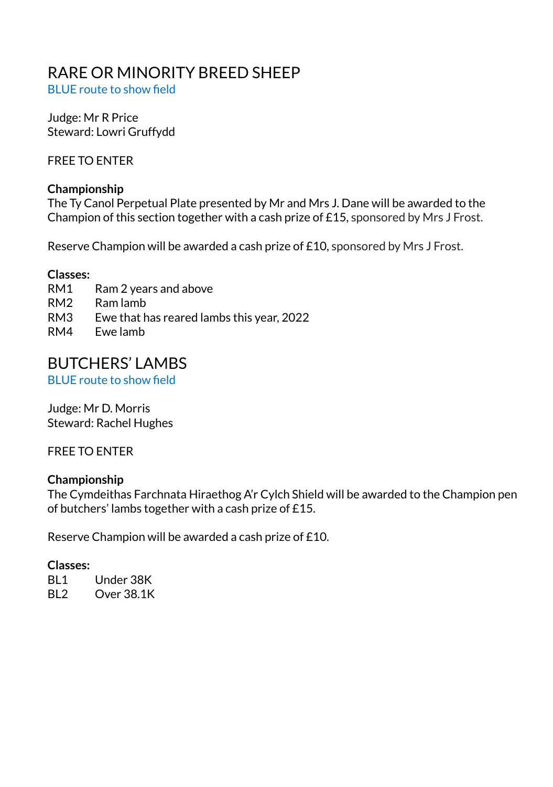# RARE OR MINORITY BREED SHEEP

BLUE route to show field

Judge: Mr R Price Steward: Lowri Gruffydd

FREE TO ENTER

#### **Championship**

The Ty Canol Perpetual Plate presented by Mr and Mrs J. Dane will be awarded to the Champion of this section together with a cash prize of £15, sponsored by Mrs J Frost.

Reserve Champion will be awarded a cash prize of £10, sponsored by Mrs J Frost.

#### **Classes:**

- RM1 Ram 2 years and above
- RM2 Ram lamb
- RM3 Ewe that has reared lambs this year, 2022
- RM4 Ewe lamb

### BUTCHERS' LAMBS

BLUE route to show field

Judge: Mr D. Morris Steward: Rachel Hughes

#### FREE TO ENTER

#### **Championship**

The Cymdeithas Farchnata Hiraethog A'r Cylch Shield will be awarded to the Champion pen of butchers' lambs together with a cash prize of £15.

Reserve Champion will be awarded a cash prize of £10.

- BL1 Under 38K
- BL2 Over 38.1K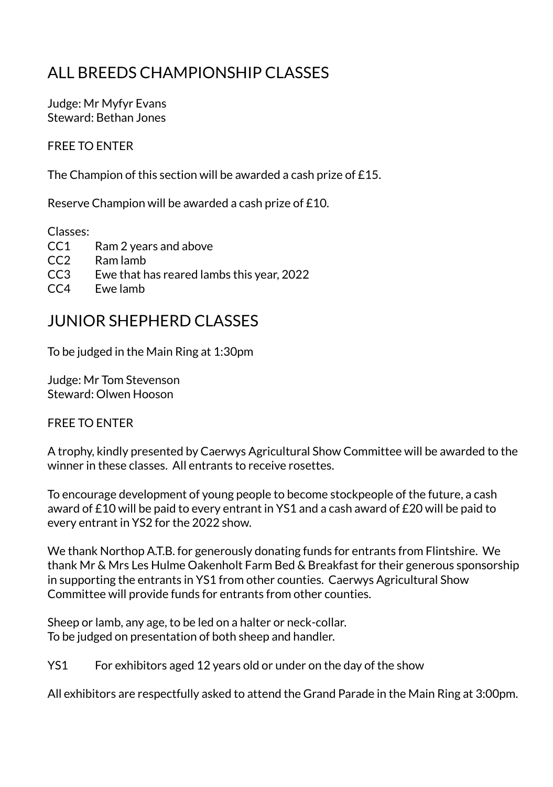# ALL BREEDS CHAMPIONSHIP CLASSES

Judge: Mr Myfyr Evans Steward: Bethan Jones

#### FREE TO ENTER

The Champion of this section will be awarded a cash prize of £15.

Reserve Champion will be awarded a cash prize of £10.

Classes:

- CC1 Ram 2 years and above
- CC2 Ram lamb
- CC3 Ewe that has reared lambs this year, 2022
- CC4 Ewe lamb

### JUNIOR SHEPHERD CLASSES

To be judged in the Main Ring at 1:30pm

Judge: Mr Tom Stevenson Steward: Olwen Hooson

#### FREE TO ENTER

A trophy, kindly presented by Caerwys Agricultural Show Committee will be awarded to the winner in these classes. All entrants to receive rosettes.

To encourage development of young people to become stockpeople of the future, a cash award of £10 will be paid to every entrant in YS1 and a cash award of £20 will be paid to every entrant in YS2 for the 2022 show.

We thank Northop A.T.B. for generously donating funds for entrants from Flintshire. We thank Mr & Mrs Les Hulme Oakenholt Farm Bed & Breakfast for their generous sponsorship in supporting the entrants in YS1 from other counties. Caerwys Agricultural Show Committee will provide funds for entrants from other counties.

Sheep or lamb, any age, to be led on a halter or neck-collar. To be judged on presentation of both sheep and handler.

YS1 For exhibitors aged 12 years old or under on the day of the show

All exhibitors are respectfully asked to attend the Grand Parade in the Main Ring at 3:00pm.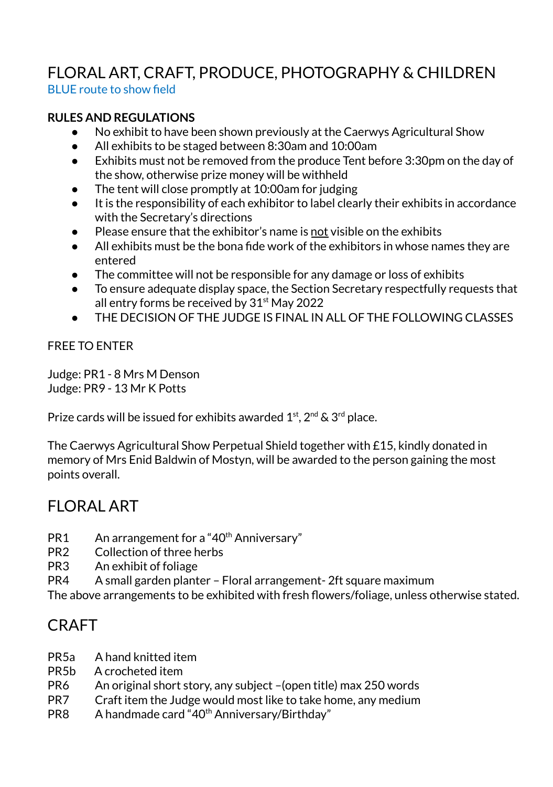# FLORAL ART, CRAFT, PRODUCE, PHOTOGRAPHY & CHILDREN

BLUE route to show field

#### **RULES AND REGULATIONS**

- No exhibit to have been shown previously at the Caerwys Agricultural Show
- All exhibits to be staged between 8:30am and 10:00am
- Exhibits must not be removed from the produce Tent before 3:30pm on the day of the show, otherwise prize money will be withheld
- The tent will close promptly at 10:00am for judging
- It is the responsibility of each exhibitor to label clearly their exhibits in accordance with the Secretary's directions
- Please ensure that the exhibitor's name is not visible on the exhibits
- $\bullet$  All exhibits must be the bona fide work of the exhibitors in whose names they are entered
- The committee will not be responsible for any damage or loss of exhibits
- To ensure adequate display space, the Section Secretary respectfully requests that all entry forms be received by 31<sup>st</sup> May 2022
- THE DECISION OF THE JUDGE IS FINAL IN ALL OF THE FOLLOWING CLASSES

FREE TO ENTER

Judge: PR1 - 8 Mrs M Denson Judge: PR9 - 13 Mr K Potts

Prize cards will be issued for exhibits awarded  $1<sup>st</sup>$ ,  $2<sup>nd</sup>$  &  $3<sup>rd</sup>$  place.

The Caerwys Agricultural Show Perpetual Shield together with £15, kindly donated in memory of Mrs Enid Baldwin of Mostyn, will be awarded to the person gaining the most points overall.

# FLORAL ART

PR1 An arrangement for a "40<sup>th</sup> Anniversary"

- PR2 Collection of three herbs
- PR3 An exhibit of foliage
- PR4 A small garden planter Floral arrangement- 2ft square maximum

The above arrangements to be exhibited with fresh flowers/foliage, unless otherwise stated.

### CRAFT

- PR5a A hand knitted item
- PR5b A crocheted item
- PR6 An original short story, any subject –(open title) max 250 words
- PR7 Craft item the Judge would most like to take home, any medium
- PR8 A handmade card "40<sup>th</sup> Anniversary/Birthday"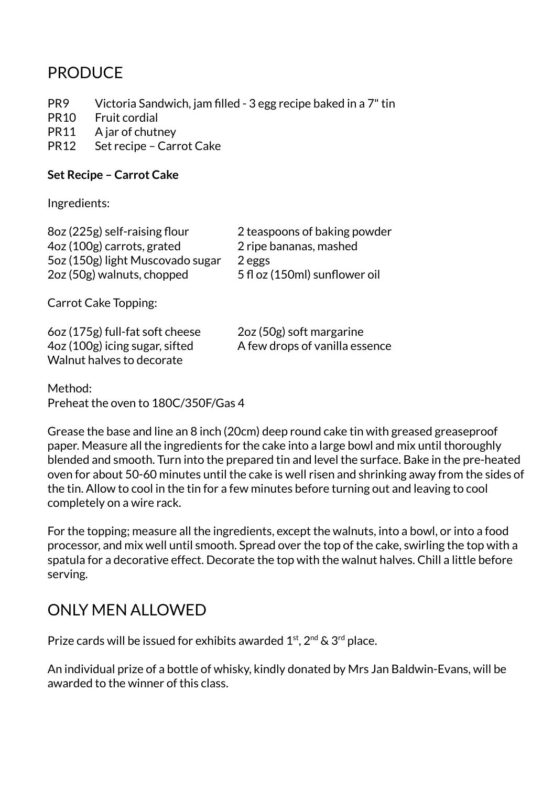# **PRODUCE**

- PR9 Victoria Sandwich, jam filled 3 egg recipe baked in a 7"tin
- PR10 Fruit cordial
- PR11 A jar of chutney
- PR12 Set recipe Carrot Cake

#### **Set Recipe – Carrot Cake**

Ingredients:

| 8oz (225g) self-raising flour    | 2 teaspoons of baking powder  |
|----------------------------------|-------------------------------|
| 4oz (100g) carrots, grated       | 2 ripe bananas, mashed        |
| 5oz (150g) light Muscovado sugar | 2 eggs                        |
| 2oz (50g) walnuts, chopped       | 5 fl oz (150ml) sunflower oil |
|                                  |                               |

Carrot Cake Topping:

6oz (175g) full-fat soft cheese 2oz (50g) soft margarine Walnut halves to decorate

4oz (100g) icing sugar, sifted A few drops of vanilla essence

Method: Preheat the oven to 180C/350F/Gas 4

Grease the base and line an 8 inch (20cm) deep round cake tin with greased greaseproof paper. Measure all the ingredients for the cake into a large bowl and mix until thoroughly blended and smooth. Turn into the prepared tin and level the surface. Bake in the pre-heated oven for about 50-60 minutes until the cake is well risen and shrinking away from the sides of the tin. Allow to cool in the tin for a few minutes before turning out and leaving to cool completely on a wire rack.

For the topping; measure all the ingredients, except the walnuts, into a bowl, or into a food processor, and mix well until smooth. Spread over the top of the cake, swirling the top with a spatula for a decorative effect. Decorate the top with the walnut halves. Chill a little before serving.

# ONLY MEN ALLOWED

Prize cards will be issued for exhibits awarded  $1<sup>st</sup>$ ,  $2<sup>nd</sup>$  &  $3<sup>rd</sup>$  place.

An individual prize of a bottle of whisky, kindly donated by Mrs Jan Baldwin-Evans, will be awarded to the winner of this class.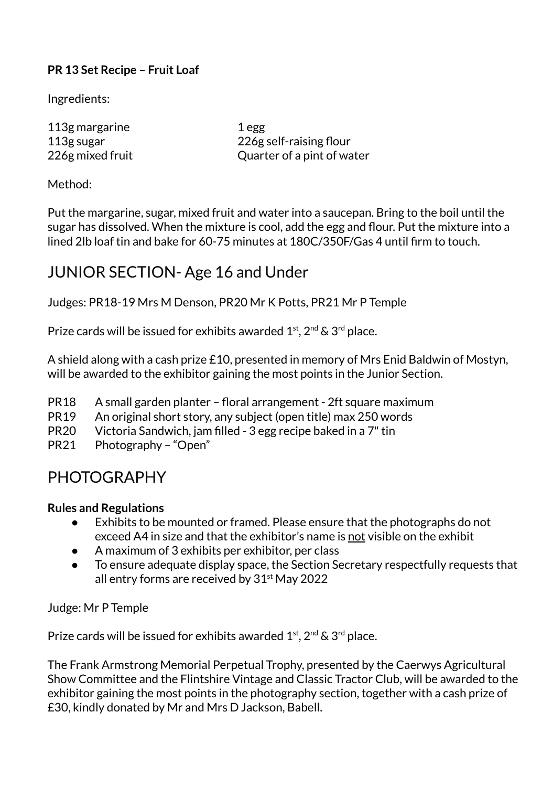#### **PR 13 Set Recipe – Fruit Loaf**

Ingredients:

113g margarine 1 egg

113g sugar 226g self-raising flour 226g mixed fruit **Conservation Cuarter of a pint of water** 

Method:

Put the margarine, sugar, mixed fruit and water into a saucepan. Bring to the boil until the sugar has dissolved. When the mixture is cool, add the egg and flour. Put the mixture into a lined 2lb loaf tin and bake for 60-75 minutes at 180C/350F/Gas 4 until firm to touch.

### JUNIOR SECTION- Age 16 and Under

Judges: PR18-19 Mrs M Denson, PR20 Mr K Potts, PR21 Mr P Temple

Prize cards will be issued for exhibits awarded  $1<sup>st</sup>$ ,  $2<sup>nd</sup>$  &  $3<sup>rd</sup>$  place.

A shield along with a cash prize £10, presented in memory of Mrs Enid Baldwin of Mostyn, will be awarded to the exhibitor gaining the most points in the Junior Section.

- PR18 A small garden planter floral arrangement 2ft square maximum
- PR19 An original short story, any subject (open title) max 250 words
- PR20 Victoria Sandwich, jam filled 3 egg recipe baked in a 7" tin
- PR21 Photography "Open"

### **PHOTOGRAPHY**

#### **Rules and Regulations**

- Exhibits to be mounted or framed. Please ensure that the photographs do not exceed A4 in size and that the exhibitor's name is not visible on the exhibit
- A maximum of 3 exhibits per exhibitor, per class
- To ensure adequate display space, the Section Secretary respectfully requests that all entry forms are received by  $31<sup>st</sup>$  May 2022

Judge: Mr P Temple

Prize cards will be issued for exhibits awarded  $1<sup>st</sup>$ ,  $2<sup>nd</sup>$  &  $3<sup>rd</sup>$  place.

The Frank Armstrong Memorial Perpetual Trophy, presented by the Caerwys Agricultural Show Committee and the Flintshire Vintage and Classic Tractor Club, will be awarded to the exhibitor gaining the most points in the photography section, together with a cash prize of £30, kindly donated by Mr and Mrs D Jackson, Babell.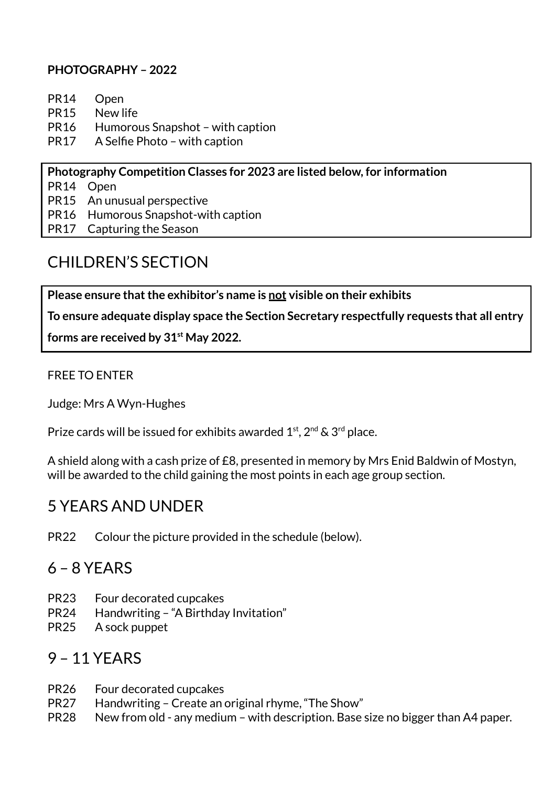#### **PHOTOGRAPHY – 2022**

- PR14 Open
- PR15 New life
- PR16 Humorous Snapshot with caption
- PR17 A Selfie Photo with caption

#### **Photography Competition Classes for 2023 are listed below, for information**

- PR14 Open
- PR15 An unusual perspective
- PR16 Humorous Snapshot-with caption
- PR17 Capturing the Season

# CHILDREN'S SECTION

**Please ensure thatthe exhibitor's name is not visible on their exhibits**

**To ensure adequate display space the Section Secretary respectfully requests that all entry**

**forms are received by 31 st May 2022.**

#### FREE TO ENTER

Judge: Mrs A Wyn-Hughes

Prize cards will be issued for exhibits awarded  $1<sup>st</sup>$ ,  $2<sup>nd</sup>$  &  $3<sup>rd</sup>$  place.

A shield along with a cash prize of £8, presented in memory by Mrs Enid Baldwin of Mostyn, will be awarded to the child gaining the most points in each age group section.

### 5 YEARS AND UNDER

PR22 Colour the picture provided in the schedule (below).

### $6 - 8$  YFARS

- PR23 Four decorated cupcakes
- PR24 Handwriting "A Birthday Invitation"
- PR25 A sock puppet

### 9 – 11 YEARS

- PR26 Four decorated cupcakes
- PR27 Handwriting Create an original rhyme, "The Show"
- PR28 New from old any medium with description. Base size no bigger than A4 paper.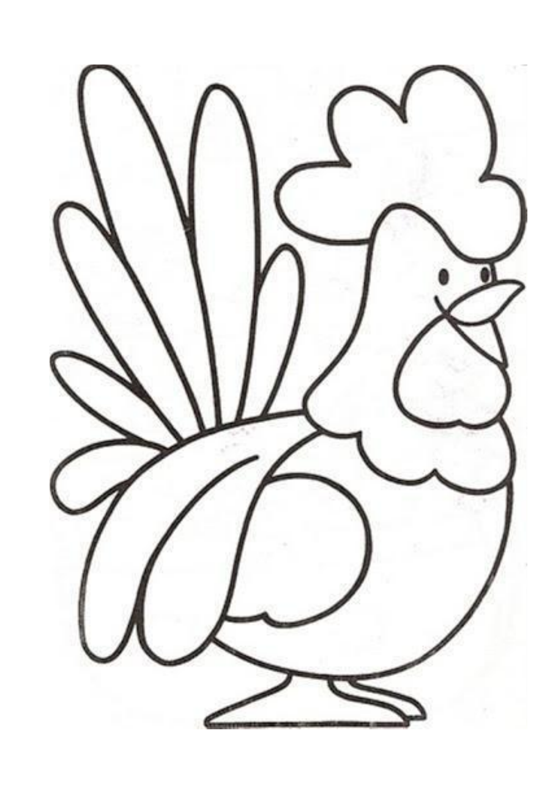